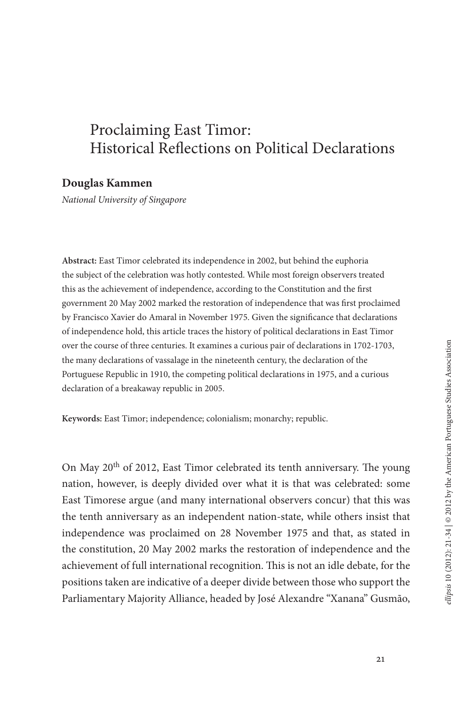# Proclaiming East Timor: Historical Reflections on Political Declarations

### **Douglas Kammen**

*National University of Singapore*

**Abstract:** East Timor celebrated its independence in 2002, but behind the euphoria the subject of the celebration was hotly contested. While most foreign observers treated this as the achievement of independence, according to the Constitution and the first government 20 May 2002 marked the restoration of independence that was first proclaimed by Francisco Xavier do Amaral in November 1975. Given the significance that declarations of independence hold, this article traces the history of political declarations in East Timor over the course of three centuries. It examines a curious pair of declarations in 1702-1703, the many declarations of vassalage in the nineteenth century, the declaration of the Portuguese Republic in 1910, the competing political declarations in 1975, and a curious declaration of a breakaway republic in 2005.

**Keywords:** East Timor; independence; colonialism; monarchy; republic.

On May 20th of 2012, East Timor celebrated its tenth anniversary. The young nation, however, is deeply divided over what it is that was celebrated: some East Timorese argue (and many international observers concur) that this was the tenth anniversary as an independent nation-state, while others insist that independence was proclaimed on 28 November 1975 and that, as stated in the constitution, 20 May 2002 marks the restoration of independence and the achievement of full international recognition. This is not an idle debate, for the positions taken are indicative of a deeper divide between those who support the Parliamentary Majority Alliance, headed by José Alexandre "Xanana" Gusmão,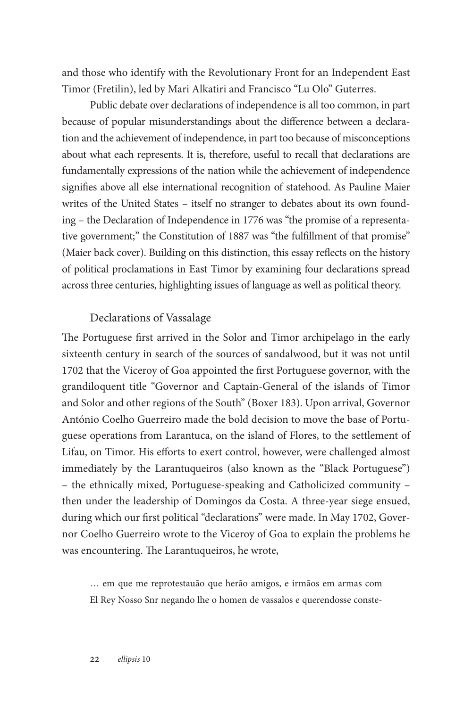and those who identify with the Revolutionary Front for an Independent East Timor (Fretilin), led by Mari Alkatiri and Francisco "Lu Olo" Guterres.

Public debate over declarations of independence is all too common, in part because of popular misunderstandings about the difference between a declaration and the achievement of independence, in part too because of misconceptions about what each represents. It is, therefore, useful to recall that declarations are fundamentally expressions of the nation while the achievement of independence signifies above all else international recognition of statehood. As Pauline Maier writes of the United States – itself no stranger to debates about its own founding – the Declaration of Independence in 1776 was "the promise of a representative government;" the Constitution of 1887 was "the fulfillment of that promise" (Maier back cover). Building on this distinction, this essay reflects on the history of political proclamations in East Timor by examining four declarations spread across three centuries, highlighting issues of language as well as political theory.

### Declarations of Vassalage

The Portuguese first arrived in the Solor and Timor archipelago in the early sixteenth century in search of the sources of sandalwood, but it was not until 1702 that the Viceroy of Goa appointed the first Portuguese governor, with the grandiloquent title "Governor and Captain-General of the islands of Timor and Solor and other regions of the South" (Boxer 183). Upon arrival, Governor António Coelho Guerreiro made the bold decision to move the base of Portuguese operations from Larantuca, on the island of Flores, to the settlement of Lifau, on Timor. His efforts to exert control, however, were challenged almost immediately by the Larantuqueiros (also known as the "Black Portuguese") – the ethnically mixed, Portuguese-speaking and Catholicized community – then under the leadership of Domingos da Costa. A three-year siege ensued, during which our first political "declarations" were made. In May 1702, Governor Coelho Guerreiro wrote to the Viceroy of Goa to explain the problems he was encountering. The Larantuqueiros, he wrote,

… em que me reprotestauão que herão amigos, e irmãos em armas com El Rey Nosso Snr negando lhe o homen de vassalos e querendosse conste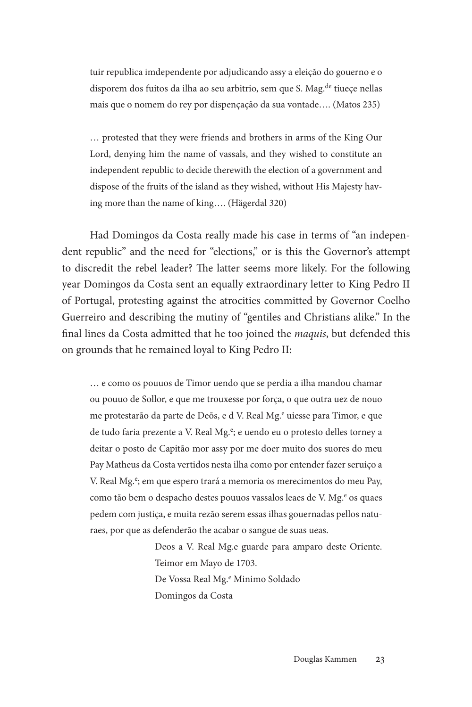tuir republica imdependente por adjudicando assy a eleição do gouerno e o disporem dos fuitos da ilha ao seu arbitrio, sem que S. Mag.<sup>de</sup> tiueçe nellas mais que o nomem do rey por dispençação da sua vontade…. (Matos 235)

… protested that they were friends and brothers in arms of the King Our Lord, denying him the name of vassals, and they wished to constitute an independent republic to decide therewith the election of a government and dispose of the fruits of the island as they wished, without His Majesty having more than the name of king…. (Hägerdal 320)

Had Domingos da Costa really made his case in terms of "an independent republic" and the need for "elections," or is this the Governor's attempt to discredit the rebel leader? The latter seems more likely. For the following year Domingos da Costa sent an equally extraordinary letter to King Pedro II of Portugal, protesting against the atrocities committed by Governor Coelho Guerreiro and describing the mutiny of "gentiles and Christians alike." In the final lines da Costa admitted that he too joined the *maquis*, but defended this on grounds that he remained loyal to King Pedro II:

… e como os pouuos de Timor uendo que se perdia a ilha mandou chamar ou pouuo de Sollor, e que me trouxesse por força, o que outra uez de nouo me protestarão da parte de Deõs, e d V. Real Mg.<sup>e</sup> uiesse para Timor, e que de tudo faria prezente a V. Real Mg.<sup>e</sup>; e uendo eu o protesto delles torney a deitar o posto de Capitão mor assy por me doer muito dos suores do meu Pay Matheus da Costa vertidos nesta ilha como por entender fazer seruiço a V. Real Mg.<sup>e</sup>; em que espero trará a memoria os merecimentos do meu Pay, como tão bem o despacho destes pouuos vassalos leaes de V. Mg.<sup>e</sup> os quaes pedem com justiça, e muita rezão serem essas ilhas gouernadas pellos naturaes, por que as defenderão the acabar o sangue de suas ueas.

> Deos a V. Real Mg.e guarde para amparo deste Oriente. Teimor em Mayo de 1703. De Vossa Real Mg.<sup>e</sup> Minimo Soldado Domingos da Costa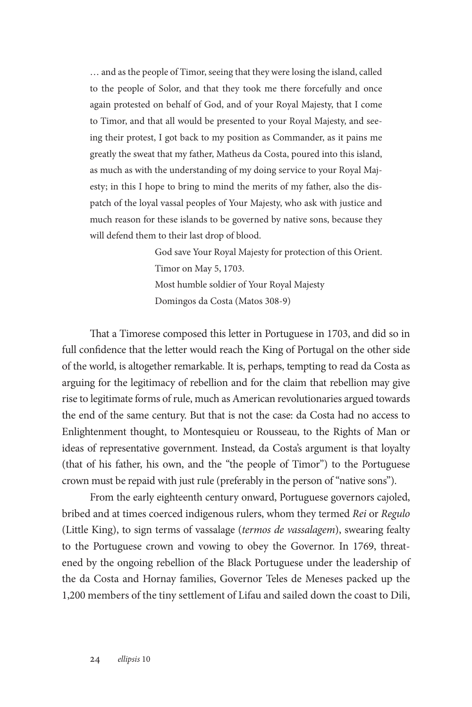… and as the people of Timor, seeing that they were losing the island, called to the people of Solor, and that they took me there forcefully and once again protested on behalf of God, and of your Royal Majesty, that I come to Timor, and that all would be presented to your Royal Majesty, and seeing their protest, I got back to my position as Commander, as it pains me greatly the sweat that my father, Matheus da Costa, poured into this island, as much as with the understanding of my doing service to your Royal Majesty; in this I hope to bring to mind the merits of my father, also the dispatch of the loyal vassal peoples of Your Majesty, who ask with justice and much reason for these islands to be governed by native sons, because they will defend them to their last drop of blood.

> God save Your Royal Majesty for protection of this Orient. Timor on May 5, 1703. Most humble soldier of Your Royal Majesty Domingos da Costa (Matos 308-9)

That a Timorese composed this letter in Portuguese in 1703, and did so in full confidence that the letter would reach the King of Portugal on the other side of the world, is altogether remarkable. It is, perhaps, tempting to read da Costa as arguing for the legitimacy of rebellion and for the claim that rebellion may give rise to legitimate forms of rule, much as American revolutionaries argued towards the end of the same century. But that is not the case: da Costa had no access to Enlightenment thought, to Montesquieu or Rousseau, to the Rights of Man or ideas of representative government. Instead, da Costa's argument is that loyalty (that of his father, his own, and the "the people of Timor") to the Portuguese crown must be repaid with just rule (preferably in the person of "native sons").

From the early eighteenth century onward, Portuguese governors cajoled, bribed and at times coerced indigenous rulers, whom they termed *Rei* or *Regulo* (Little King), to sign terms of vassalage (*termos de vassalagem*), swearing fealty to the Portuguese crown and vowing to obey the Governor. In 1769, threatened by the ongoing rebellion of the Black Portuguese under the leadership of the da Costa and Hornay families, Governor Teles de Meneses packed up the 1,200 members of the tiny settlement of Lifau and sailed down the coast to Dili,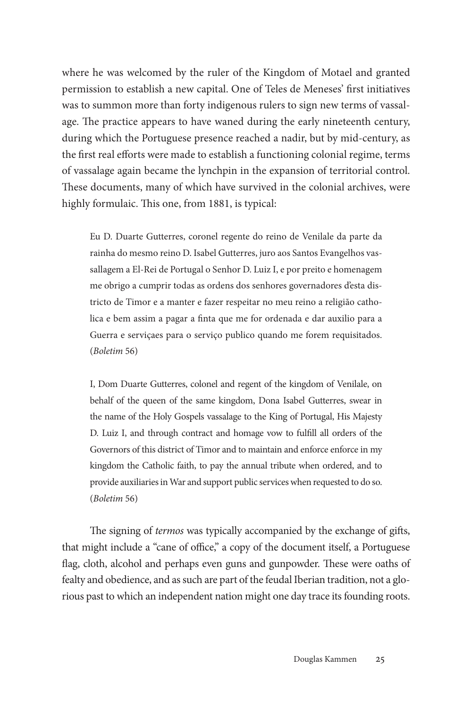where he was welcomed by the ruler of the Kingdom of Motael and granted permission to establish a new capital. One of Teles de Meneses' first initiatives was to summon more than forty indigenous rulers to sign new terms of vassalage. The practice appears to have waned during the early nineteenth century, during which the Portuguese presence reached a nadir, but by mid-century, as the first real efforts were made to establish a functioning colonial regime, terms of vassalage again became the lynchpin in the expansion of territorial control. These documents, many of which have survived in the colonial archives, were highly formulaic. This one, from 1881, is typical:

Eu D. Duarte Gutterres, coronel regente do reino de Venilale da parte da rainha do mesmo reino D. Isabel Gutterres, juro aos Santos Evangelhos vassallagem a El-Rei de Portugal o Senhor D. Luiz I, e por preito e homenagem me obrigo a cumprir todas as ordens dos senhores governadores d'esta districto de Timor e a manter e fazer respeitar no meu reino a religião catholica e bem assim a pagar a finta que me for ordenada e dar auxilio para a Guerra e serviçaes para o serviço publico quando me forem requisitados. (*Boletim* 56)

I, Dom Duarte Gutterres, colonel and regent of the kingdom of Venilale, on behalf of the queen of the same kingdom, Dona Isabel Gutterres, swear in the name of the Holy Gospels vassalage to the King of Portugal, His Majesty D. Luiz I, and through contract and homage vow to fulfill all orders of the Governors of this district of Timor and to maintain and enforce enforce in my kingdom the Catholic faith, to pay the annual tribute when ordered, and to provide auxiliaries in War and support public services when requested to do so. (*Boletim* 56)

The signing of *termos* was typically accompanied by the exchange of gifts, that might include a "cane of office," a copy of the document itself, a Portuguese flag, cloth, alcohol and perhaps even guns and gunpowder. These were oaths of fealty and obedience, and as such are part of the feudal Iberian tradition, not a glorious past to which an independent nation might one day trace its founding roots.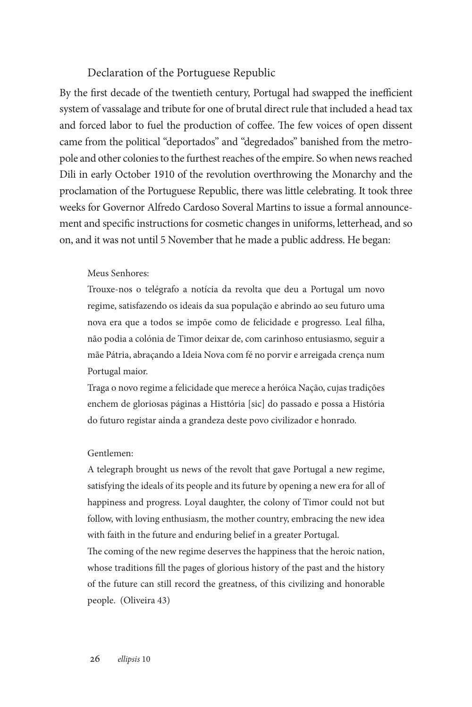## Declaration of the Portuguese Republic

By the first decade of the twentieth century, Portugal had swapped the inefficient system of vassalage and tribute for one of brutal direct rule that included a head tax and forced labor to fuel the production of coffee. The few voices of open dissent came from the political "deportados" and "degredados" banished from the metropole and other colonies to the furthest reaches of the empire. So when news reached Dili in early October 1910 of the revolution overthrowing the Monarchy and the proclamation of the Portuguese Republic, there was little celebrating. It took three weeks for Governor Alfredo Cardoso Soveral Martins to issue a formal announcement and specific instructions for cosmetic changes in uniforms, letterhead, and so on, and it was not until 5 November that he made a public address. He began:

### Meus Senhores:

Trouxe-nos o telégrafo a notícia da revolta que deu a Portugal um novo regime, satisfazendo os ideais da sua população e abrindo ao seu futuro uma nova era que a todos se impõe como de felicidade e progresso. Leal filha, não podia a colónia de Timor deixar de, com carinhoso entusiasmo, seguir a mãe Pátria, abraçando a Ideia Nova com fé no porvir e arreigada crença num Portugal maior.

Traga o novo regime a felicidade que merece a heróica Nação, cujas tradições enchem de gloriosas páginas a Histtória [sic] do passado e possa a História do futuro registar ainda a grandeza deste povo civilizador e honrado.

#### Gentlemen:

A telegraph brought us news of the revolt that gave Portugal a new regime, satisfying the ideals of its people and its future by opening a new era for all of happiness and progress. Loyal daughter, the colony of Timor could not but follow, with loving enthusiasm, the mother country, embracing the new idea with faith in the future and enduring belief in a greater Portugal.

The coming of the new regime deserves the happiness that the heroic nation, whose traditions fill the pages of glorious history of the past and the history of the future can still record the greatness, of this civilizing and honorable people. (Oliveira 43)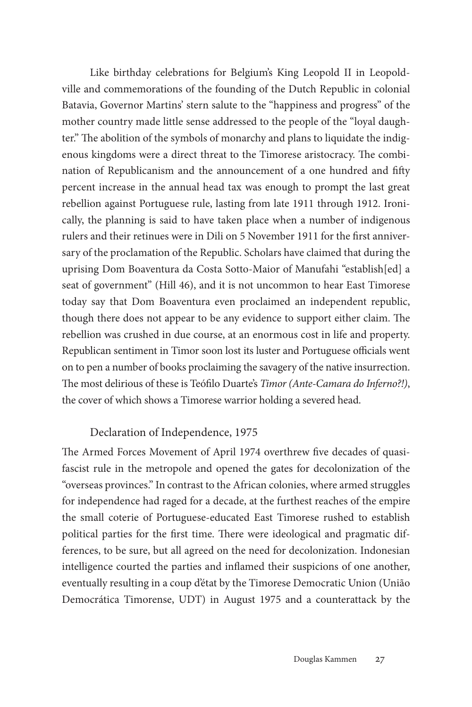Like birthday celebrations for Belgium's King Leopold II in Leopoldville and commemorations of the founding of the Dutch Republic in colonial Batavia, Governor Martins' stern salute to the "happiness and progress" of the mother country made little sense addressed to the people of the "loyal daughter." The abolition of the symbols of monarchy and plans to liquidate the indigenous kingdoms were a direct threat to the Timorese aristocracy. The combination of Republicanism and the announcement of a one hundred and fifty percent increase in the annual head tax was enough to prompt the last great rebellion against Portuguese rule, lasting from late 1911 through 1912. Ironically, the planning is said to have taken place when a number of indigenous rulers and their retinues were in Dili on 5 November 1911 for the first anniversary of the proclamation of the Republic. Scholars have claimed that during the uprising Dom Boaventura da Costa Sotto-Maior of Manufahi "establish[ed] a seat of government" (Hill 46), and it is not uncommon to hear East Timorese today say that Dom Boaventura even proclaimed an independent republic, though there does not appear to be any evidence to support either claim. The rebellion was crushed in due course, at an enormous cost in life and property. Republican sentiment in Timor soon lost its luster and Portuguese officials went on to pen a number of books proclaiming the savagery of the native insurrection. The most delirious of these is Teófilo Duarte's *Timor (Ante-Camara do Inferno?!)*, the cover of which shows a Timorese warrior holding a severed head.

# Declaration of Independence, 1975

The Armed Forces Movement of April 1974 overthrew five decades of quasifascist rule in the metropole and opened the gates for decolonization of the "overseas provinces." In contrast to the African colonies, where armed struggles for independence had raged for a decade, at the furthest reaches of the empire the small coterie of Portuguese-educated East Timorese rushed to establish political parties for the first time. There were ideological and pragmatic differences, to be sure, but all agreed on the need for decolonization. Indonesian intelligence courted the parties and inflamed their suspicions of one another, eventually resulting in a coup d'état by the Timorese Democratic Union (União Democrática Timorense, UDT) in August 1975 and a counterattack by the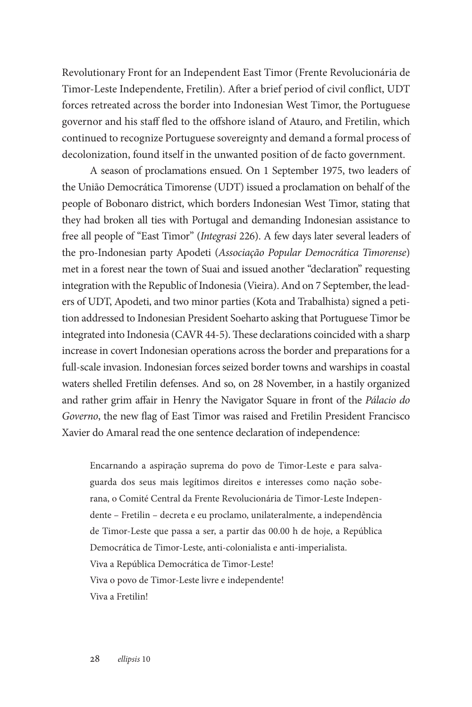Revolutionary Front for an Independent East Timor (Frente Revolucionária de Timor-Leste Independente, Fretilin). After a brief period of civil conflict, UDT forces retreated across the border into Indonesian West Timor, the Portuguese governor and his staff fled to the offshore island of Atauro, and Fretilin, which continued to recognize Portuguese sovereignty and demand a formal process of decolonization, found itself in the unwanted position of de facto government.

A season of proclamations ensued. On 1 September 1975, two leaders of the União Democrática Timorense (UDT) issued a proclamation on behalf of the people of Bobonaro district, which borders Indonesian West Timor, stating that they had broken all ties with Portugal and demanding Indonesian assistance to free all people of "East Timor" (*Integrasi* 226). A few days later several leaders of the pro-Indonesian party Apodeti (*Associação Popular Democrática Timorense*) met in a forest near the town of Suai and issued another "declaration" requesting integration with the Republic of Indonesia (Vieira). And on 7 September, the leaders of UDT, Apodeti, and two minor parties (Kota and Trabalhista) signed a petition addressed to Indonesian President Soeharto asking that Portuguese Timor be integrated into Indonesia (CAVR 44-5). These declarations coincided with a sharp increase in covert Indonesian operations across the border and preparations for a full-scale invasion. Indonesian forces seized border towns and warships in coastal waters shelled Fretilin defenses. And so, on 28 November, in a hastily organized and rather grim affair in Henry the Navigator Square in front of the *Pálacio do Governo*, the new flag of East Timor was raised and Fretilin President Francisco Xavier do Amaral read the one sentence declaration of independence:

Encarnando a aspiração suprema do povo de Timor-Leste e para salvaguarda dos seus mais legítimos direitos e interesses como nação soberana, o Comité Central da Frente Revolucionária de Timor-Leste Independente – Fretilin – decreta e eu proclamo, unilateralmente, a independência de Timor-Leste que passa a ser, a partir das 00.00 h de hoje, a República Democrática de Timor-Leste, anti-colonialista e anti-imperialista. Viva a República Democrática de Timor-Leste! Viva o povo de Timor-Leste livre e independente! Viva a Fretilin!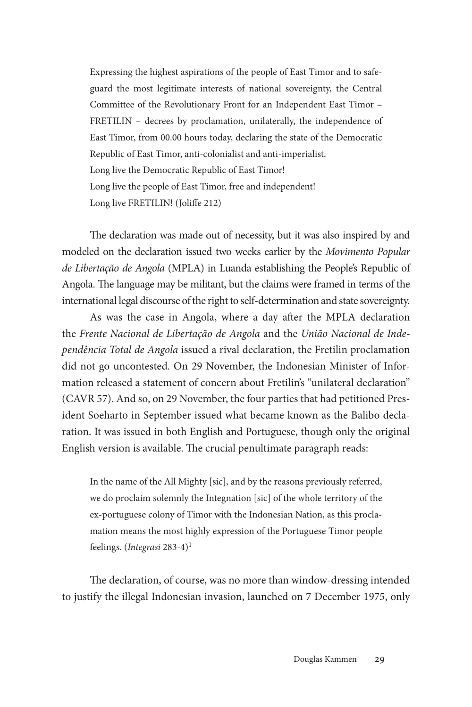Expressing the highest aspirations of the people of East Timor and to safeguard the most legitimate interests of national sovereignty, the Central Committee of the Revolutionary Front for an Independent East Timor – FRETILIN – decrees by proclamation, unilaterally, the independence of East Timor, from 00.00 hours today, declaring the state of the Democratic Republic of East Timor, anti-colonialist and anti-imperialist. Long live the Democratic Republic of East Timor! Long live the people of East Timor, free and independent! Long live FRETILIN! (Joliffe 212)

The declaration was made out of necessity, but it was also inspired by and modeled on the declaration issued two weeks earlier by the *Movimento Popular de Libertação de Angola* (MPLA) in Luanda establishing the People's Republic of Angola. The language may be militant, but the claims were framed in terms of the international legal discourse of the right to self-determination and state sovereignty.

As was the case in Angola, where a day after the MPLA declaration the *Frente Nacional de Libertação de Angola* and the *União Nacional de Independência Total de Angola* issued a rival declaration, the Fretilin proclamation did not go uncontested. On 29 November, the Indonesian Minister of Information released a statement of concern about Fretilin's "unilateral declaration" (CAVR 57). And so, on 29 November, the four parties that had petitioned President Soeharto in September issued what became known as the Balibo declaration. It was issued in both English and Portuguese, though only the original English version is available. The crucial penultimate paragraph reads:

In the name of the All Mighty [sic], and by the reasons previously referred, we do proclaim solemnly the Integnation [sic] of the whole territory of the ex-portuguese colony of Timor with the Indonesian Nation, as this proclamation means the most highly expression of the Portuguese Timor people feelings. (*Integrasi* 283-4)1

The declaration, of course, was no more than window-dressing intended to justify the illegal Indonesian invasion, launched on 7 December 1975, only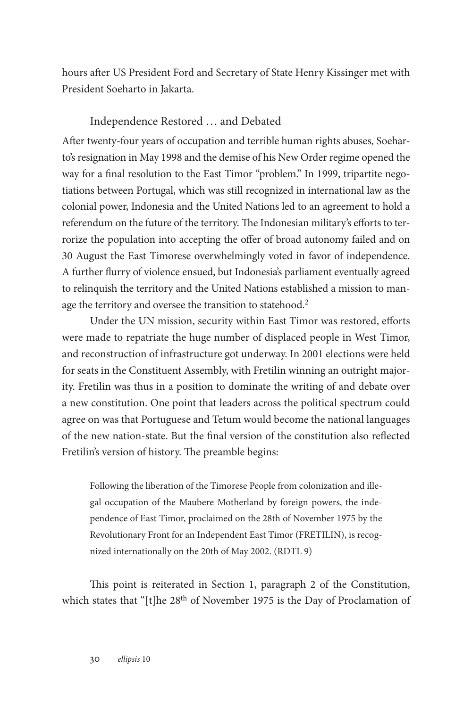hours after US President Ford and Secretary of State Henry Kissinger met with President Soeharto in Jakarta.

# Independence Restored … and Debated

After twenty-four years of occupation and terrible human rights abuses, Soeharto's resignation in May 1998 and the demise of his New Order regime opened the way for a final resolution to the East Timor "problem." In 1999, tripartite negotiations between Portugal, which was still recognized in international law as the colonial power, Indonesia and the United Nations led to an agreement to hold a referendum on the future of the territory. The Indonesian military's efforts to terrorize the population into accepting the offer of broad autonomy failed and on 30 August the East Timorese overwhelmingly voted in favor of independence. A further flurry of violence ensued, but Indonesia's parliament eventually agreed to relinquish the territory and the United Nations established a mission to manage the territory and oversee the transition to statehood.<sup>2</sup>

Under the UN mission, security within East Timor was restored, efforts were made to repatriate the huge number of displaced people in West Timor, and reconstruction of infrastructure got underway. In 2001 elections were held for seats in the Constituent Assembly, with Fretilin winning an outright majority. Fretilin was thus in a position to dominate the writing of and debate over a new constitution. One point that leaders across the political spectrum could agree on was that Portuguese and Tetum would become the national languages of the new nation-state. But the final version of the constitution also reflected Fretilin's version of history. The preamble begins:

Following the liberation of the Timorese People from colonization and illegal occupation of the Maubere Motherland by foreign powers, the independence of East Timor, proclaimed on the 28th of November 1975 by the Revolutionary Front for an Independent East Timor (FRETILIN), is recognized internationally on the 20th of May 2002. (RDTL 9)

This point is reiterated in Section 1, paragraph 2 of the Constitution, which states that "[t]he 28<sup>th</sup> of November 1975 is the Day of Proclamation of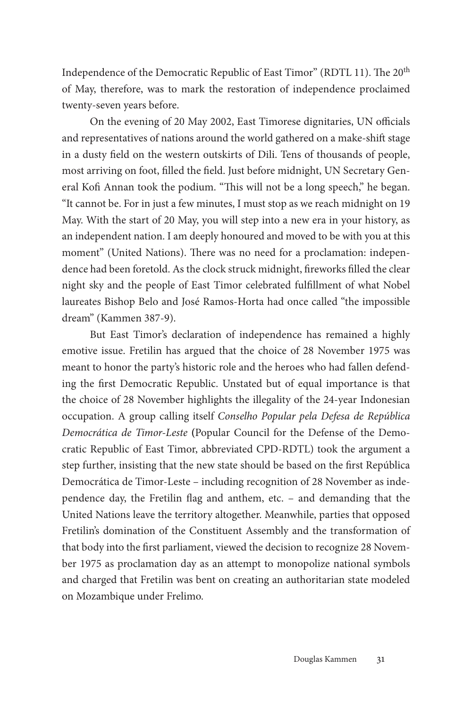Independence of the Democratic Republic of East Timor" (RDTL 11). The 20<sup>th</sup> of May, therefore, was to mark the restoration of independence proclaimed twenty-seven years before.

On the evening of 20 May 2002, East Timorese dignitaries, UN officials and representatives of nations around the world gathered on a make-shift stage in a dusty field on the western outskirts of Dili. Tens of thousands of people, most arriving on foot, filled the field. Just before midnight, UN Secretary General Kofi Annan took the podium. "This will not be a long speech," he began. "It cannot be. For in just a few minutes, I must stop as we reach midnight on 19 May. With the start of 20 May, you will step into a new era in your history, as an independent nation. I am deeply honoured and moved to be with you at this moment" (United Nations). There was no need for a proclamation: independence had been foretold. As the clock struck midnight, fireworks filled the clear night sky and the people of East Timor celebrated fulfillment of what Nobel laureates Bishop Belo and José Ramos-Horta had once called "the impossible dream" (Kammen 387-9).

But East Timor's declaration of independence has remained a highly emotive issue. Fretilin has argued that the choice of 28 November 1975 was meant to honor the party's historic role and the heroes who had fallen defending the first Democratic Republic. Unstated but of equal importance is that the choice of 28 November highlights the illegality of the 24-year Indonesian occupation. A group calling itself *Conselho Popular pela Defesa de República Democrática de Timor-Leste* **(**Popular Council for the Defense of the Democratic Republic of East Timor, abbreviated CPD-RDTL) took the argument a step further, insisting that the new state should be based on the first República Democrática de Timor-Leste – including recognition of 28 November as independence day, the Fretilin flag and anthem, etc. – and demanding that the United Nations leave the territory altogether. Meanwhile, parties that opposed Fretilin's domination of the Constituent Assembly and the transformation of that body into the first parliament, viewed the decision to recognize 28 November 1975 as proclamation day as an attempt to monopolize national symbols and charged that Fretilin was bent on creating an authoritarian state modeled on Mozambique under Frelimo.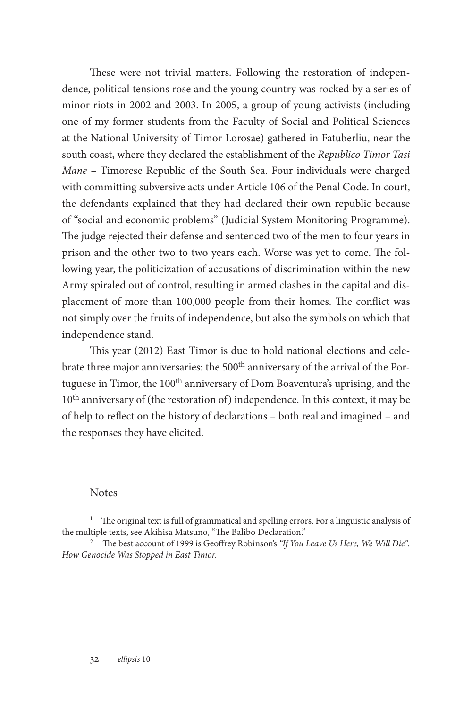These were not trivial matters. Following the restoration of independence, political tensions rose and the young country was rocked by a series of minor riots in 2002 and 2003. In 2005, a group of young activists (including one of my former students from the Faculty of Social and Political Sciences at the National University of Timor Lorosae) gathered in Fatuberliu, near the south coast, where they declared the establishment of the *Republico Timor Tasi Mane* – Timorese Republic of the South Sea. Four individuals were charged with committing subversive acts under Article 106 of the Penal Code. In court, the defendants explained that they had declared their own republic because of "social and economic problems" (Judicial System Monitoring Programme). The judge rejected their defense and sentenced two of the men to four years in prison and the other two to two years each. Worse was yet to come. The following year, the politicization of accusations of discrimination within the new Army spiraled out of control, resulting in armed clashes in the capital and displacement of more than 100,000 people from their homes. The conflict was not simply over the fruits of independence, but also the symbols on which that independence stand.

This year (2012) East Timor is due to hold national elections and celebrate three major anniversaries: the 500<sup>th</sup> anniversary of the arrival of the Portuguese in Timor, the 100<sup>th</sup> anniversary of Dom Boaventura's uprising, and the  $10<sup>th</sup>$  anniversary of (the restoration of) independence. In this context, it may be of help to reflect on the history of declarations – both real and imagined – and the responses they have elicited.

### **Notes**

<sup>1</sup> The original text is full of grammatical and spelling errors. For a linguistic analysis of the multiple texts, see Akihisa Matsuno, "The Balibo Declaration."

<sup>2</sup> The best account of 1999 is Geoffrey Robinson's *"If You Leave Us Here, We Will Die": How Genocide Was Stopped in East Timor.*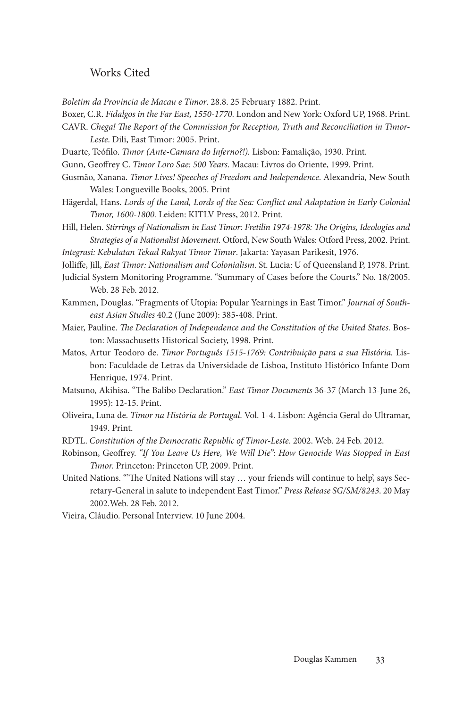### Works Cited

*Boletim da Provincia de Macau e Timor*. 28.8. 25 February 1882. Print.

- Boxer, C.R. *Fidalgos in the Far East, 1550-1770.* London and New York: Oxford UP, 1968. Print.
- CAVR. *Chega! The Report of the Commission for Reception, Truth and Reconciliation in Timor-Leste*. Dili, East Timor: 2005. Print.
- Duarte, Teófilo. *Timor (Ante-Camara do Inferno?!).* Lisbon: Famalição, 1930. Print.
- Gunn, Geoffrey C. *Timor Loro Sae: 500 Years*. Macau: Livros do Oriente, 1999. Print.
- Gusmão, Xanana. *Timor Lives! Speeches of Freedom and Independence*. Alexandria, New South Wales: Longueville Books, 2005. Print
- Hägerdal, Hans. *Lords of the Land, Lords of the Sea: Conflict and Adaptation in Early Colonial Timor, 1600-1800.* Leiden: KITLV Press, 2012. Print.
- Hill, Helen. *Stirrings of Nationalism in East Timor: Fretilin 1974-1978: The Origins, Ideologies and Strategies of a Nationalist Movement.* Otford, New South Wales: Otford Press, 2002. Print.

*Integrasi: Kebulatan Tekad Rakyat Timor Timur*. Jakarta: Yayasan Parikesit, 1976.

- Jolliffe, Jill, *East Timor: Nationalism and Colonialism*. St. Lucia: U of Queensland P, 1978. Print.
- Judicial System Monitoring Programme. "Summary of Cases before the Courts." No. 18/2005. Web. 28 Feb. 2012.
- Kammen, Douglas. "Fragments of Utopia: Popular Yearnings in East Timor." *Journal of Southeast Asian Studies* 40.2 (June 2009): 385-408. Print.
- Maier, Pauline. *The Declaration of Independence and the Constitution of the United States.* Boston: Massachusetts Historical Society, 1998. Print.
- Matos, Artur Teodoro de. *Timor Português 1515-1769: Contribuição para a sua História.* Lisbon: Faculdade de Letras da Universidade de Lisboa, Instituto Histórico Infante Dom Henrique, 1974. Print.
- Matsuno, Akihisa. "The Balibo Declaration." *East Timor Documents* 36-37 (March 13-June 26, 1995): 12-15. Print.
- Oliveira, Luna de. *Timor na História de Portugal*. Vol. 1-4. Lisbon: Agência Geral do Ultramar, 1949. Print.
- RDTL. *Constitution of the Democratic Republic of Timor-Leste*. 2002. Web. 24 Feb. 2012.
- Robinson, Geoffrey. *"If You Leave Us Here, We Will Die": How Genocide Was Stopped in East Timor.* Princeton: Princeton UP, 2009. Print.
- United Nations. "'The United Nations will stay … your friends will continue to help', says Secretary-General in salute to independent East Timor." *Press Release SG/SM/8243*. 20 May 2002.Web. 28 Feb. 2012.
- Vieira, Cláudio. Personal Interview. 10 June 2004.